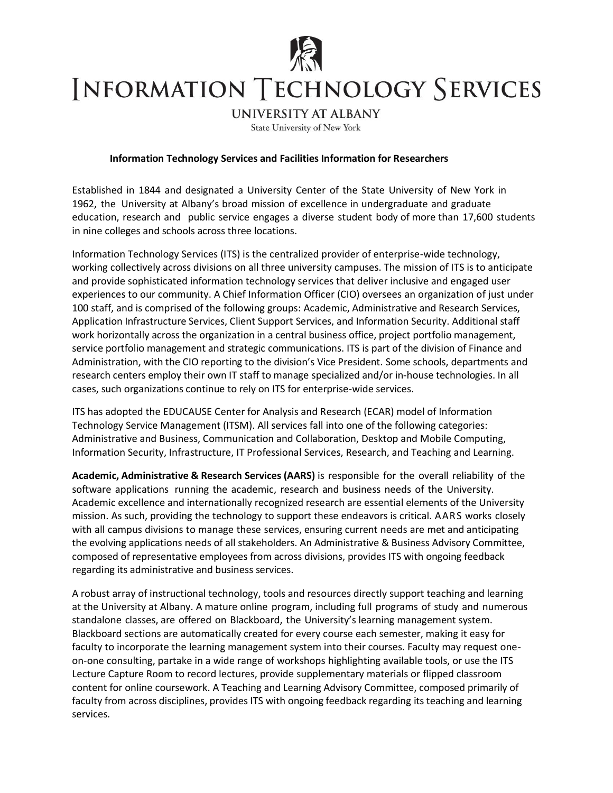

## **INFORMATION TECHNOLOGY SERVICES**

**UNIVERSITY AT ALBANY** 

State University of New York

## **Information Technology Services and Facilities Information for Researchers**

Established in 1844 and designated a University Center of the State University of New York in 1962, the University at Albany's broad mission of excellence in undergraduate and graduate education, research and public service engages a diverse student body of more than 17,600 students in nine colleges and schools across three locations.

Information Technology Services (ITS) is the centralized provider of enterprise-wide technology, working collectively across divisions on all three university campuses. The mission of ITS is to anticipate and provide sophisticated information technology services that deliver inclusive and engaged user experiences to our community. A Chief Information Officer (CIO) oversees an organization of just under 100 staff, and is comprised of the following groups: Academic, Administrative and Research Services, Application Infrastructure Services, Client Support Services, and Information Security. Additional staff work horizontally across the organization in a central business office, project portfolio management, service portfolio management and strategic communications. ITS is part of the division of Finance and Administration, with the CIO reporting to the division's Vice President. Some schools, departments and research centers employ their own IT staff to manage specialized and/or in-house technologies. In all cases, such organizations continue to rely on ITS for enterprise-wide services.

ITS has adopted the EDUCAUSE Center for Analysis and Research (ECAR) model of Information Technology Service Management (ITSM). All services fall into one of the following categories: Administrative and Business, Communication and Collaboration, Desktop and Mobile Computing, Information Security, Infrastructure, IT Professional Services, Research, and Teaching and Learning.

**Academic, Administrative & Research Services (AARS)** is responsible for the overall reliability of the software applications running the academic, research and business needs of the University. Academic excellence and internationally recognized research are essential elements of the University mission. As such, providing the technology to support these endeavors is critical. AARS works closely with all campus divisions to manage these services, ensuring current needs are met and anticipating the evolving applications needs of all stakeholders. An Administrative & Business Advisory Committee, composed of representative employees from across divisions, provides ITS with ongoing feedback regarding its administrative and business services.

A robust array of instructional technology, tools and resources directly support teaching and learning at the University at Albany. A mature online program, including full programs of study and numerous standalone classes, are offered on Blackboard, the University's learning management system. Blackboard sections are automatically created for every course each semester, making it easy for faculty to incorporate the learning management system into their courses. Faculty may request oneon-one consulting, partake in a wide range of workshops highlighting available tools, or use the ITS Lecture Capture Room to record lectures, provide supplementary materials or flipped classroom content for online coursework. A Teaching and Learning Advisory Committee, composed primarily of faculty from across disciplines, provides ITS with ongoing feedback regarding its teaching and learning services.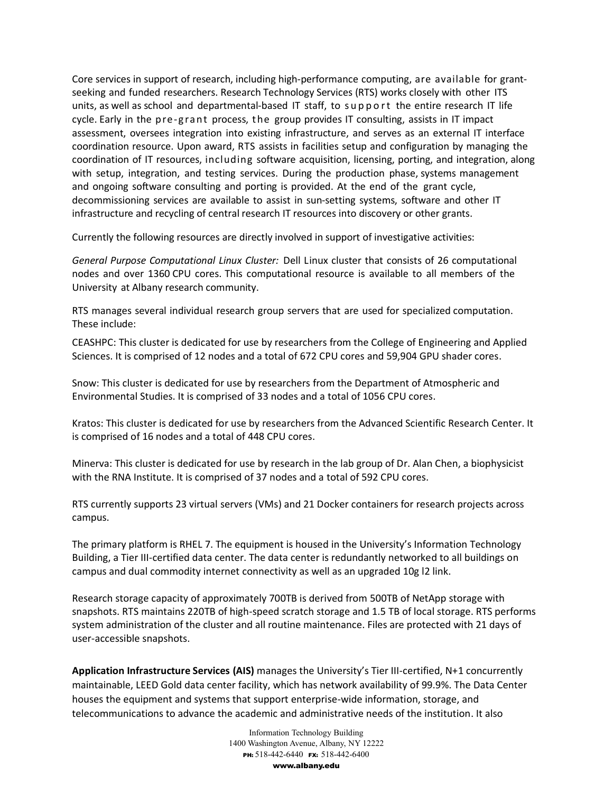Core services in support of research, including high-performance computing, are available for grantseeking and funded researchers. Research Technology Services (RTS) works closely with other ITS units, as well as school and departmental-based IT staff, to support the entire research IT life cycle. Early in the pre-g rant process, t he group provides IT consulting, assists in IT impact assessment, oversees integration into existing infrastructure, and serves as an external IT interface coordination resource. Upon award, RTS assists in facilities setup and configuration by managing the coordination of IT resources, including software acquisition, licensing, porting, and integration, along with setup, integration, and testing services. During the production phase, systems management and ongoing software consulting and porting is provided. At the end of the grant cycle, decommissioning services are available to assist in sun-setting systems, software and other IT infrastructure and recycling of central research IT resources into discovery or other grants.

Currently the following resources are directly involved in support of investigative activities:

*General Purpose Computational Linux Cluster:* Dell Linux cluster that consists of 26 computational nodes and over 1360 CPU cores. This computational resource is available to all members of the University at Albany research community.

RTS manages several individual research group servers that are used for specialized computation. These include:

CEASHPC: This cluster is dedicated for use by researchers from the College of Engineering and Applied Sciences. It is comprised of 12 nodes and a total of 672 CPU cores and 59,904 GPU shader cores.

Snow: This cluster is dedicated for use by researchers from the Department of Atmospheric and Environmental Studies. It is comprised of 33 nodes and a total of 1056 CPU cores.

Kratos: This cluster is dedicated for use by researchers from the Advanced Scientific Research Center. It is comprised of 16 nodes and a total of 448 CPU cores.

Minerva: This cluster is dedicated for use by research in the lab group of Dr. Alan Chen, a biophysicist with the RNA Institute. It is comprised of 37 nodes and a total of 592 CPU cores.

RTS currently supports 23 virtual servers (VMs) and 21 Docker containers for research projects across campus.

The primary platform is RHEL 7. The equipment is housed in the University's Information Technology Building, a Tier III-certified data center. The data center is redundantly networked to all buildings on campus and dual commodity internet connectivity as well as an upgraded 10g l2 link.

Research storage capacity of approximately 700TB is derived from 500TB of NetApp storage with snapshots. RTS maintains 220TB of high-speed scratch storage and 1.5 TB of local storage. RTS performs system administration of the cluster and all routine maintenance. Files are protected with 21 days of user-accessible snapshots.

**Application Infrastructure Services (AIS)** manages the University's Tier III-certified, N+1 concurrently maintainable, LEED Gold data center facility, which has network availability of 99.9%. The Data Center houses the equipment and systems that support enterprise-wide information, storage, and telecommunications to advance the academic and administrative needs of the institution. It also

> Information Technology Building 1400 Washington Avenue, Albany, NY 12222 PH: 518-442-6440 FX: 518-442-6400 www.albany.edu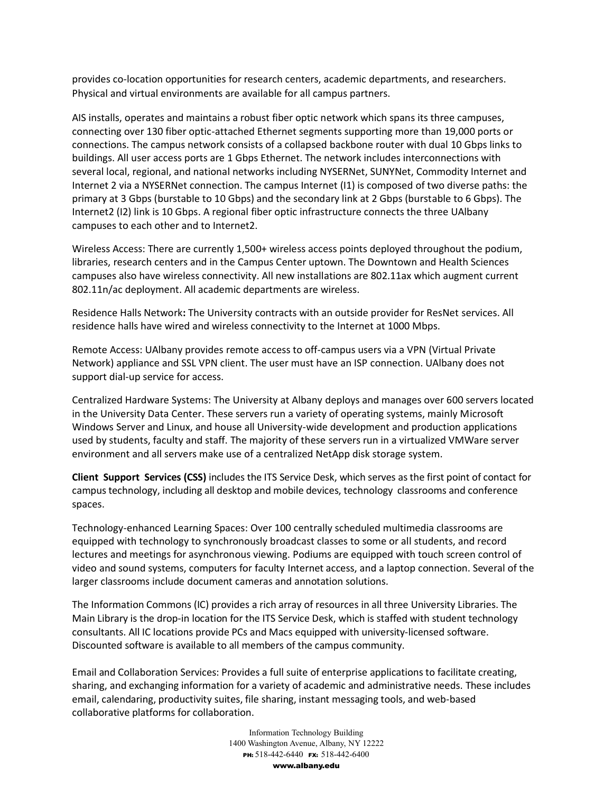provides co-location opportunities for research centers, academic departments, and researchers. Physical and virtual environments are available for all campus partners.

AIS installs, operates and maintains a robust fiber optic network which spans its three campuses, connecting over 130 fiber optic-attached Ethernet segments supporting more than 19,000 ports or connections. The campus network consists of a collapsed backbone router with dual 10 Gbps links to buildings. All user access ports are 1 Gbps Ethernet. The network includes interconnections with several local, regional, and national networks including NYSERNet, SUNYNet, Commodity Internet and Internet 2 via a NYSERNet connection. The campus Internet (I1) is composed of two diverse paths: the primary at 3 Gbps (burstable to 10 Gbps) and the secondary link at 2 Gbps (burstable to 6 Gbps). The Internet2 (I2) link is 10 Gbps. A regional fiber optic infrastructure connects the three UAlbany campuses to each other and to Internet2.

Wireless Access: There are currently 1,500+ wireless access points deployed throughout the podium, libraries, research centers and in the Campus Center uptown. The Downtown and Health Sciences campuses also have wireless connectivity. All new installations are 802.11ax which augment current 802.11n/ac deployment. All academic departments are wireless.

Residence Halls Network**:** The University contracts with an outside provider for ResNet services. All residence halls have wired and wireless connectivity to the Internet at 1000 Mbps.

Remote Access: UAlbany provides remote access to off-campus users via a VPN (Virtual Private Network) appliance and SSL VPN client. The user must have an ISP connection. UAlbany does not support dial-up service for access.

Centralized Hardware Systems: The University at Albany deploys and manages over 600 servers located in the University Data Center. These servers run a variety of operating systems, mainly Microsoft Windows Server and Linux, and house all University-wide development and production applications used by students, faculty and staff. The majority of these servers run in a virtualized VMWare server environment and all servers make use of a centralized NetApp disk storage system.

**Client Support Services (CSS)** includes the ITS Service Desk, which serves as the first point of contact for campus technology, including all desktop and mobile devices, technology classrooms and conference spaces.

Technology-enhanced Learning Spaces: Over 100 centrally scheduled multimedia classrooms are equipped with technology to synchronously broadcast classes to some or all students, and record lectures and meetings for asynchronous viewing. Podiums are equipped with touch screen control of video and sound systems, computers for faculty Internet access, and a laptop connection. Several of the larger classrooms include document cameras and annotation solutions.

The Information Commons (IC) provides a rich array of resources in all three University Libraries. The Main Library is the drop-in location for the ITS Service Desk, which is staffed with student technology consultants. All IC locations provide PCs and Macs equipped with university-licensed software. Discounted software is available to all members of the campus community.

Email and Collaboration Services: Provides a full suite of enterprise applications to facilitate creating, sharing, and exchanging information for a variety of academic and administrative needs. These includes email, calendaring, productivity suites, file sharing, instant messaging tools, and web-based collaborative platforms for collaboration.

> Information Technology Building 1400 Washington Avenue, Albany, NY 12222 PH: 518-442-6440 FX: 518-442-6400 www.albany.edu